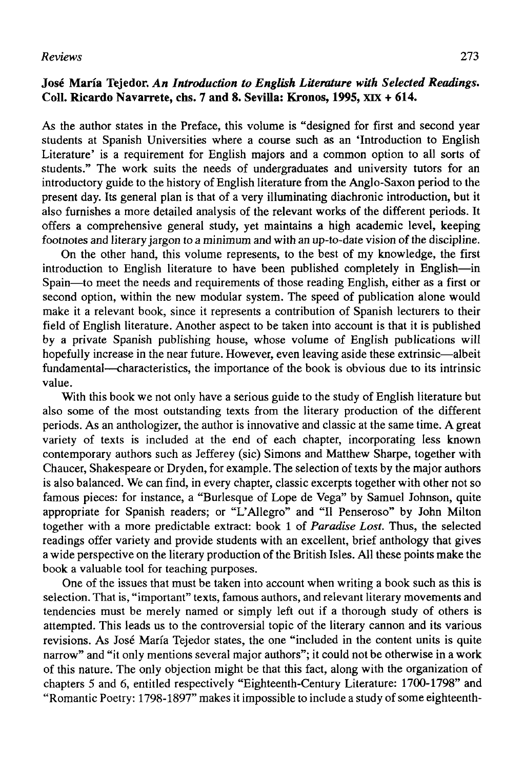## *Reviews* 273

## **José María Tejedor.** *An Introduction to English Liíeraíure with Selected Readings.*  **Coll. Ricardo Navarrete, chs. 7 and 8. Sevilla: Kronos, 1995, XIX + 614.**

As the author states in the Preface, this volume is "designed for first and second year students at Spanish Universities where a course such as an 'Introduction to English Literatura' is a requirement for English majors and a common option to all sorts of students." The work suits the needs of undergraduates and university tutors for an introductory guide to the history of English literature from the Anglo-Saxon period to the present day. Its general plan is that of a very illuminating diachronic introduction, but it also furnishes a more detailed analysis of the relevant works of the different periods. It offers a comprehensive general study, yet maintains a high academic level, keeping footnotes and literary jargon to a mínimum and with an up-to-date visión of the discipline.

On the other hand, this volume represents, to the best of my knowledge, the first introduction to English literature to have been published completely in English—in Spain—to meet the needs and requirements of those reading English, either as a first or second option, within the new modular system. The speed of publication alone would make it a relevant book, since it represents a contribution of Spanish lecturers to their field of English literature. Another aspect to be taken into account is that it is published by a prívate Spanish publishing house, whose volume of English publications will hopefully increase in the near future. However, even leaving aside these extrinsic—albeit fundamental—characteristics, the importance of the book is obvious due to its intrinsic valué.

With this book we not only have a serious guide to the study of English literature but also some of the most outstanding texts from the literary production of the different periods. As an anthologizer, the author is innovative and classic at the same time. A great variety of texts is included at the end of each chapter, incorporating less known contemporary authors such as Jefferey (sic) Simons and Matthew Sharpe, together with Chaucer, Shakespeare or Dryden, for example. The selection of texts by the major authors is also balanced. We can find, in every chapter, classic excerpts together with other not so famous pieces: for instance, a "Burlesque of Lope de Vega" by Samuel Johnson, quite appropriate for Spanish readers; or "L'Allegro" and "Il Penseroso" by John Milton together with a more predictable extract: book 1 of *Paradise Lost.* Thus, the selected readings offer variety and provide students with an excellent, brief anthology that gives a wide perspective on the literary production of the British Isles. All these points make the book a valuable tool for teaching purposes.

One of the issues that must be taken into account when writing a book such as this is selection. That is, "important" texts, famous authors, and relevant literary movements and tendencies must be merely named or simply left out if a thorough study of others is attempted. This leads us to the controversial topic of the literary cannon and its various revisions. As José María Tejedor states, the one "included in the content units is quite narrow" and "it only mentions several major authors"; it could not be otherwise in a work of this nature. The only objection might be that this fact, along with the organization of chapters 5 and 6, entitled respectively "Eighteenth-Century Literature: 1700-1798" and "Romantic Poetry: 1798-1897" makes it impossible to include a study of some eighteenth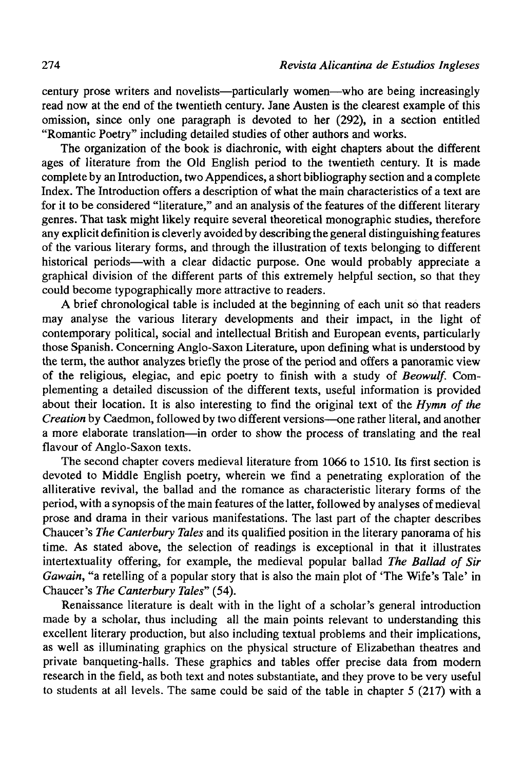century prose writers and novelists—particularly women—who are being increasingly read now at the end of the twentieth century. Jane Austen is the clearest example of this omission, since only one paragraph is devoted to her (292), in a section entitled "Romantic Poetry" including detailed studies of other authors and works.

The organization of the book is diachronic, with eight chapters about the different ages of literature from the Oíd English period to the twentieth century. It is made complete by an Introduction, two Appendices, a short bibliography section and a complete Index. The Introduction offers a description of what the main characteristics of a text are for it to be considered "literature," and an analysis of the features of the different literary genres. That task might likely require several theoretical monographic studies, therefore any explicit definition is cleverly avoided by describing the general distinguishing features of the various literary forms, and through the illustration of texts belonging to different historical periods—with a clear didactic purpose. One would probably appreciate a graphical división of the different parts of this extremely helpful section, so that they could become typographically more attractive to readers.

A brief chronological table is included at the beginning of each unit so that readers may analyse the various literary developments and their impact, in the light of contemporary political, social and intellectual British and European events, particularly those Spanish. Concerning Anglo-Saxon Literature, upon defining what is understood by the term, the author analyzes briefly the prose of the period and offers a panoramic view of the religious, elegiac, and epic poetry to finish with a study of *Beowulf.* Complementing a detailed discussion of the different texts, useful information is provided about their location. It is also interesting to find the original text of the *Hymn of the Creation* by Caedmon, followed by two different versions—one rather literal, and another a more elabórate translation—in order to show the process of translating and the real flavour of Anglo-Saxon texts.

The second chapter covers medieval literature from 1066 to 1510. Its first section is devoted to Middle English poetry, wherein we find a penetrating exploration of the alliterative revival, the bailad and the romance as characteristic literary forms of the period, with a synopsis of the main features of the latter, followed by analyses of medieval prose and drama in their various manifestations. The last part of the chapter describes Chaucer's *The Canterbury Tales* and its qualified position in the literary panorama of his time. As stated above, the selection of readings is exceptional in that it illustrates intertextuality offering, for example, the medieval popular bailad *The Bailad of Sir Gawain,* "a retelling of a popular story that is also the main plot of 'The Wife's Tale' in Chaucer's *The Canterbury Tales"* (54).

Renaissance literature is dealt with in the light of a scholar's general introduction made by a scholar, thus including all the main points relevant to understanding this excellent literary production, but also including textual problems and their implications, as well as illuminating graphics on the physical structure of Elizabethan theatres and prívate banqueting-halls. These graphics and tables offer precise data from modern research in the field, as both text and notes substantiate, and they prove to be very useful to students at all levels. The same could be said of the table in chapter  $5$  (217) with a